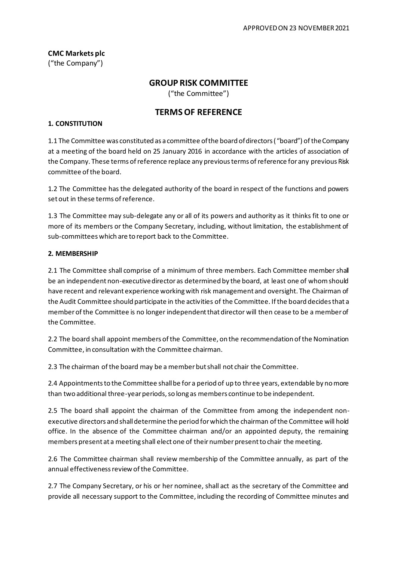**CMC Markets plc** ("the Company")

# **GROUP RISK COMMITTEE**

("the Committee")

## **TERMS OF REFERENCE**

#### **1. CONSTITUTION**

1.1 The Committee was constituted as a committee of the board of directors ("board") of the Company at a meeting of the board held on 25 January 2016 in accordance with the articles of association of the Company. These terms of reference replace any previous terms of reference for any previous Risk committee of the board.

1.2 The Committee has the delegated authority of the board in respect of the functions and powers set out in these terms of reference.

1.3 The Committee may sub-delegate any or all of its powers and authority as it thinks fit to one or more of its members or the Company Secretary, including, without limitation, the establishment of sub-committees which are to report back to the Committee.

#### **2. MEMBERSHIP**

2.1 The Committee shall comprise of a minimum of three members. Each Committee member shall be an independent non-executive director as determined by the board, at least one of whom should have recent and relevant experience working with risk management and oversight. The Chairman of the Audit Committee should participate in the activities of the Committee. If the board decides that a member of the Committee is no longer independent that director will then cease to be a member of the Committee.

2.2 The board shall appoint members of the Committee, on the recommendation of the Nomination Committee, in consultation with the Committee chairman.

2.3 The chairman of the board may be a member but shall not chair the Committee.

2.4 Appointments to the Committee shall be for a period of up to three years, extendable by no more than two additional three-year periods, so long as members continue to be independent.

2.5 The board shall appoint the chairman of the Committee from among the independent nonexecutive directors and shall determine the period for which the chairman of the Committee will hold office. In the absence of the Committee chairman and/or an appointed deputy, the remaining members present at a meeting shall elect one of their number present to chair the meeting.

2.6 The Committee chairman shall review membership of the Committee annually, as part of the annual effectiveness review of the Committee.

2.7 The Company Secretary, or his or her nominee, shall act as the secretary of the Committee and provide all necessary support to the Committee, including the recording of Committee minutes and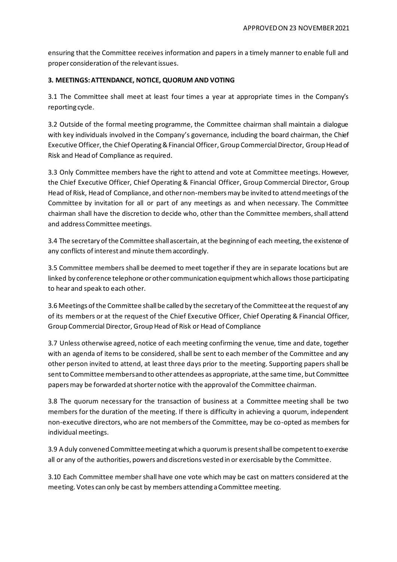ensuring that the Committee receives information and papers in a timely manner to enable full and proper consideration of the relevant issues.

## **3. MEETINGS: ATTENDANCE, NOTICE, QUORUM AND VOTING**

3.1 The Committee shall meet at least four times a year at appropriate times in the Company's reporting cycle.

3.2 Outside of the formal meeting programme, the Committee chairman shall maintain a dialogue with key individuals involved in the Company's governance, including the board chairman, the Chief Executive Officer, the Chief Operating & Financial Officer, Group Commercial Director, Group Head of Risk and Head of Compliance as required.

3.3 Only Committee members have the right to attend and vote at Committee meetings. However, the Chief Executive Officer, Chief Operating & Financial Officer, Group Commercial Director, Group Head of Risk, Head of Compliance, and other non-members may be invited to attend meetings of the Committee by invitation for all or part of any meetings as and when necessary. The Committee chairman shall have the discretion to decide who, other than the Committee members, shall attend and address Committee meetings.

3.4 The secretary of the Committee shall ascertain, at the beginning of each meeting, the existence of any conflicts of interest and minute them accordingly.

3.5 Committee members shall be deemed to meet together if they are in separate locations but are linked by conference telephone or other communication equipment which allows those participating to hear and speak to each other.

3.6 Meetings of the Committee shall be called by the secretary of the Committee at the request of any of its members or at the request of the Chief Executive Officer, Chief Operating & Financial Officer, Group Commercial Director, GroupHead of Risk or Head of Compliance

3.7 Unless otherwise agreed, notice of each meeting confirming the venue, time and date, together with an agenda of items to be considered, shall be sent to each member of the Committee and any other person invited to attend, at least three days prior to the meeting. Supporting papers shall be sent to Committee members and to other attendees as appropriate, at the same time, but Committee papers may be forwarded at shorter notice with the approval of the Committee chairman.

3.8 The quorum necessary for the transaction of business at a Committee meeting shall be two members for the duration of the meeting. If there is difficulty in achieving a quorum, independent non-executive directors, who are not members of the Committee, may be co-opted as members for individual meetings.

3.9 A duly convened Committee meeting at which a quorum is present shall be competent to exercise all or any of the authorities, powers and discretions vested in or exercisable by the Committee.

3.10 Each Committee member shall have one vote which may be cast on matters considered at the meeting. Votes can only be cast by members attending a Committee meeting.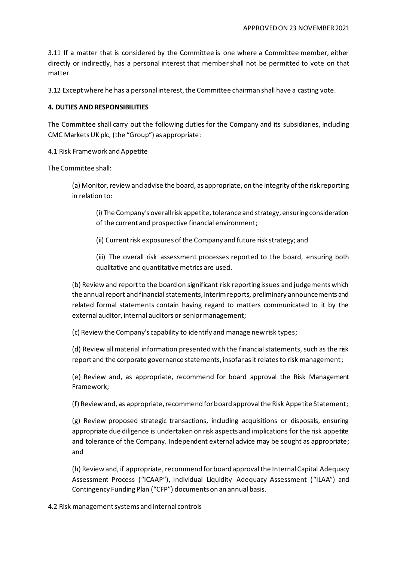3.11 If a matter that is considered by the Committee is one where a Committee member, either directly or indirectly, has a personal interest that member shall not be permitted to vote on that matter.

3.12 Except where he has a personal interest, the Committee chairman shall have a casting vote.

### **4. DUTIES AND RESPONSIBILITIES**

The Committee shall carry out the following duties for the Company and its subsidiaries, including CMC Markets UK plc, (the "Group") as appropriate:

4.1 Risk Framework and Appetite

The Committee shall:

(a) Monitor, review and advise the board, as appropriate, on the integrity of the risk reporting in relation to:

(i) The Company's overall risk appetite, tolerance and strategy, ensuring consideration of the current and prospective financial environment;

(ii) Current risk exposures of the Company and future risk strategy; and

(iii) The overall risk assessment processes reported to the board, ensuring both qualitative and quantitative metrics are used.

(b) Review and report to the board on significant risk reporting issues and judgements which the annual report and financial statements, interim reports, preliminary announcements and related formal statements contain having regard to matters communicated to it by the external auditor, internal auditors or senior management;

(c) Review the Company's capability to identify and manage new risk types;

(d) Review all material information presented with the financial statements, such as the risk report and the corporate governance statements, insofar as it relates to risk management;

(e) Review and, as appropriate, recommend for board approval the Risk Management Framework;

(f) Review and, as appropriate, recommend for board approval the Risk Appetite Statement;

(g) Review proposed strategic transactions, including acquisitions or disposals, ensuring appropriate due diligence is undertaken on risk aspects and implications for the risk appetite and tolerance of the Company. Independent external advice may be sought as appropriate; and

(h) Review and, if appropriate, recommend for board approval the Internal Capital Adequacy Assessment Process ("ICAAP"), Individual Liquidity Adequacy Assessment ("ILAA") and Contingency Funding Plan ("CFP") documents on an annual basis.

4.2 Risk management systems and internal controls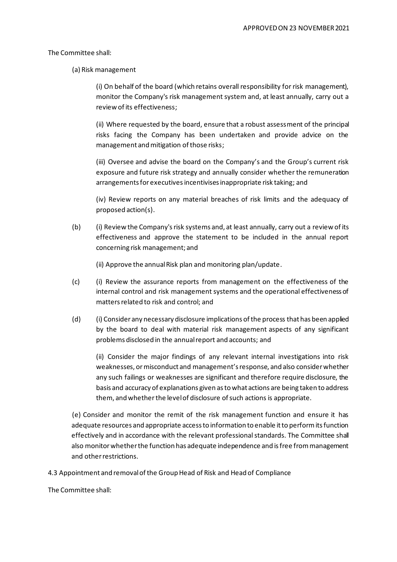#### The Committee shall:

(a) Risk management

(i) On behalf of the board (which retains overall responsibility for risk management), monitor the Company's risk management system and, at least annually, carry out a review of its effectiveness;

(ii) Where requested by the board, ensure that a robust assessment of the principal risks facing the Company has been undertaken and provide advice on the management and mitigation of those risks;

(iii) Oversee and advise the board on the Company's and the Group's current risk exposure and future risk strategy and annually consider whether the remuneration arrangements for executives incentivises inappropriate risk taking; and

(iv) Review reports on any material breaches of risk limits and the adequacy of proposed action(s).

(b) (i) Review the Company's risk systems and, at least annually, carry out a review of its effectiveness and approve the statement to be included in the annual report concerning risk management; and

(ii) Approve the annual Risk plan and monitoring plan/update.

- (c) (i) Review the assurance reports from management on the effectiveness of the internal control and risk management systems and the operational effectiveness of matters related to risk and control; and
- (d) (i) Consider any necessary disclosure implications of the process that has been applied by the board to deal with material risk management aspects of any significant problems disclosed in the annual report and accounts; and

(ii) Consider the major findings of any relevant internal investigations into risk weaknesses, ormisconduct and management's response, and also consider whether any such failings or weaknesses are significant and therefore require disclosure, the basis and accuracy of explanations given as to what actions are being taken to address them, and whether the level of disclosure of such actions is appropriate.

(e) Consider and monitor the remit of the risk management function and ensure it has adequate resources and appropriate access to information to enable it to perform its function effectively and in accordance with the relevant professional standards. The Committee shall also monitor whether the function has adequate independence and is free from management and other restrictions.

4.3 Appointment and removal of the Group Head of Risk and Head of Compliance

The Committee shall: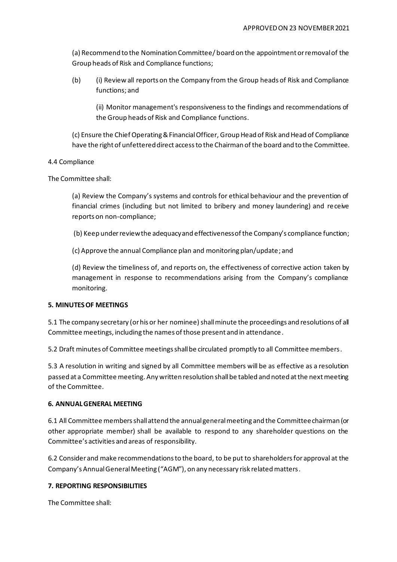(a) Recommend to the Nomination Committee/ board on the appointment or removal of the Group heads of Risk and Compliance functions;

(b) (i) Review all reports on the Company from the Group heads of Risk and Compliance functions; and

(ii) Monitor management's responsiveness to the findings and recommendations of the Group heads of Risk and Compliance functions.

(c) Ensure the Chief Operating & Financial Officer, Group Head of Risk and Head of Compliance have the right of unfettereddirect access to the Chairman of the board and to the Committee.

## 4.4 Compliance

The Committee shall:

(a) Review the Company's systems and controls for ethical behaviour and the prevention of financial crimes (including but not limited to bribery and money laundering) and receive reports on non-compliance;

(b) Keep under review the adequacy and effectiveness of the Company's compliance function;

(c) Approve the annual Compliance plan and monitoring plan/update; and

(d) Review the timeliness of, and reports on, the effectiveness of corrective action taken by management in response to recommendations arising from the Company's compliance monitoring.

## **5. MINUTES OF MEETINGS**

5.1 The company secretary (or his or her nominee) shall minute the proceedings and resolutions of all Committee meetings, including the names of those present and in attendance.

5.2 Draft minutes of Committee meetings shall be circulated promptly to all Committee members.

5.3 A resolution in writing and signed by all Committee members will be as effective as a resolution passed at a Committee meeting. Any written resolution shall be tabled and noted at the next meeting of the Committee.

## **6. ANNUAL GENERAL MEETING**

6.1 All Committee members shall attend the annual general meeting and the Committee chairman (or other appropriate member) shall be available to respond to any shareholder questions on the Committee's activities and areas of responsibility.

6.2 Consider and make recommendations to the board, to be put to shareholders for approval at the Company's Annual General Meeting ("AGM"), on any necessary risk related matters.

# **7. REPORTING RESPONSIBILITIES**

The Committee shall: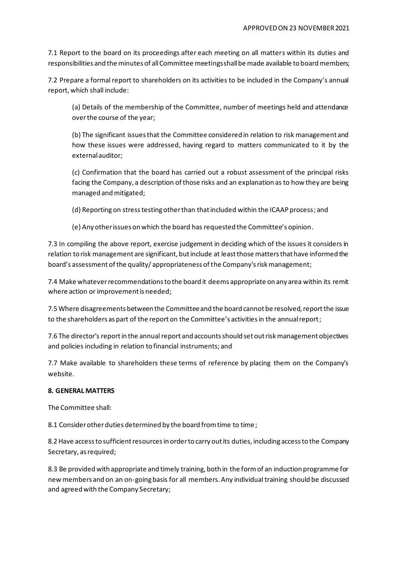7.1 Report to the board on its proceedings after each meeting on all matters within its duties and responsibilities and the minutes of all Committee meetings shall be made available to board members;

7.2 Prepare a formal report to shareholders on its activities to be included in the Company's annual report, which shall include:

(a) Details of the membership of the Committee, number of meetings held and attendance over the course of the year;

(b) The significant issues that the Committee considered in relation to risk management and how these issues were addressed, having regard to matters communicated to it by the external auditor;

(c) Confirmation that the board has carried out a robust assessment of the principal risks facing the Company, a description of those risks and an explanation as to how they are being managed and mitigated;

(d) Reporting on stress testing other than that included within the ICAAP process; and

(e) Any other issues on which the board has requested the Committee's opinion.

7.3 In compiling the above report, exercise judgement in deciding which of the issues it considers in relation to risk management are significant, but include at least those matters that have informed the board's assessment of the quality/ appropriateness of the Company's risk management;

7.4 Make whatever recommendations to the board it deems appropriate on any area within its remit where action or improvement is needed;

7.5 Where disagreements between the Committee and the board cannot be resolved, report the issue to the shareholders as part of the report on the Committee's activities in the annual report;

7.6 The director's report in the annual report and accounts should set out risk management objectives and policies including in relation to financial instruments; and

7.7 Make available to shareholders these terms of reference by placing them on the Company's website.

## **8. GENERAL MATTERS**

The Committee shall:

8.1 Consider other duties determined by the board from time to time;

8.2 Have access to sufficient resources in order to carry out its duties, including access to the Company Secretary, as required;

8.3 Be provided with appropriate and timely training, both in the form of an induction programme for new members and on an on-going basis for all members. Any individual training should be discussed and agreed with the Company Secretary;